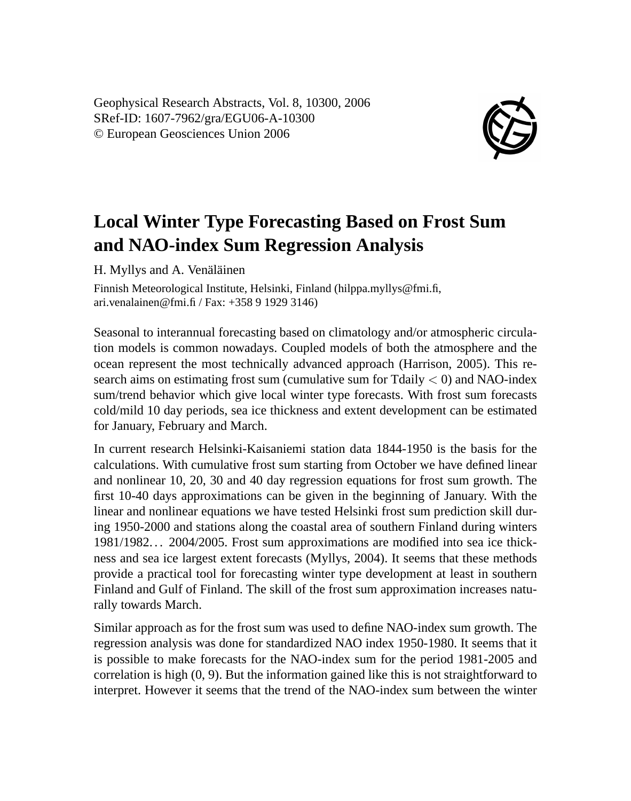Geophysical Research Abstracts, Vol. 8, 10300, 2006 SRef-ID: 1607-7962/gra/EGU06-A-10300 © European Geosciences Union 2006



## **Local Winter Type Forecasting Based on Frost Sum and NAO-index Sum Regression Analysis**

H. Myllys and A. Venäläinen

Finnish Meteorological Institute, Helsinki, Finland (hilppa.myllys@fmi.fi, ari.venalainen@fmi.fi / Fax: +358 9 1929 3146)

Seasonal to interannual forecasting based on climatology and/or atmospheric circulation models is common nowadays. Coupled models of both the atmosphere and the ocean represent the most technically advanced approach (Harrison, 2005). This research aims on estimating frost sum (cumulative sum for Tdaily  $\lt$  0) and NAO-index sum/trend behavior which give local winter type forecasts. With frost sum forecasts cold/mild 10 day periods, sea ice thickness and extent development can be estimated for January, February and March.

In current research Helsinki-Kaisaniemi station data 1844-1950 is the basis for the calculations. With cumulative frost sum starting from October we have defined linear and nonlinear 10, 20, 30 and 40 day regression equations for frost sum growth. The first 10-40 days approximations can be given in the beginning of January. With the linear and nonlinear equations we have tested Helsinki frost sum prediction skill during 1950-2000 and stations along the coastal area of southern Finland during winters 1981/1982. . . 2004/2005. Frost sum approximations are modified into sea ice thickness and sea ice largest extent forecasts (Myllys, 2004). It seems that these methods provide a practical tool for forecasting winter type development at least in southern Finland and Gulf of Finland. The skill of the frost sum approximation increases naturally towards March.

Similar approach as for the frost sum was used to define NAO-index sum growth. The regression analysis was done for standardized NAO index 1950-1980. It seems that it is possible to make forecasts for the NAO-index sum for the period 1981-2005 and correlation is high (0, 9). But the information gained like this is not straightforward to interpret. However it seems that the trend of the NAO-index sum between the winter